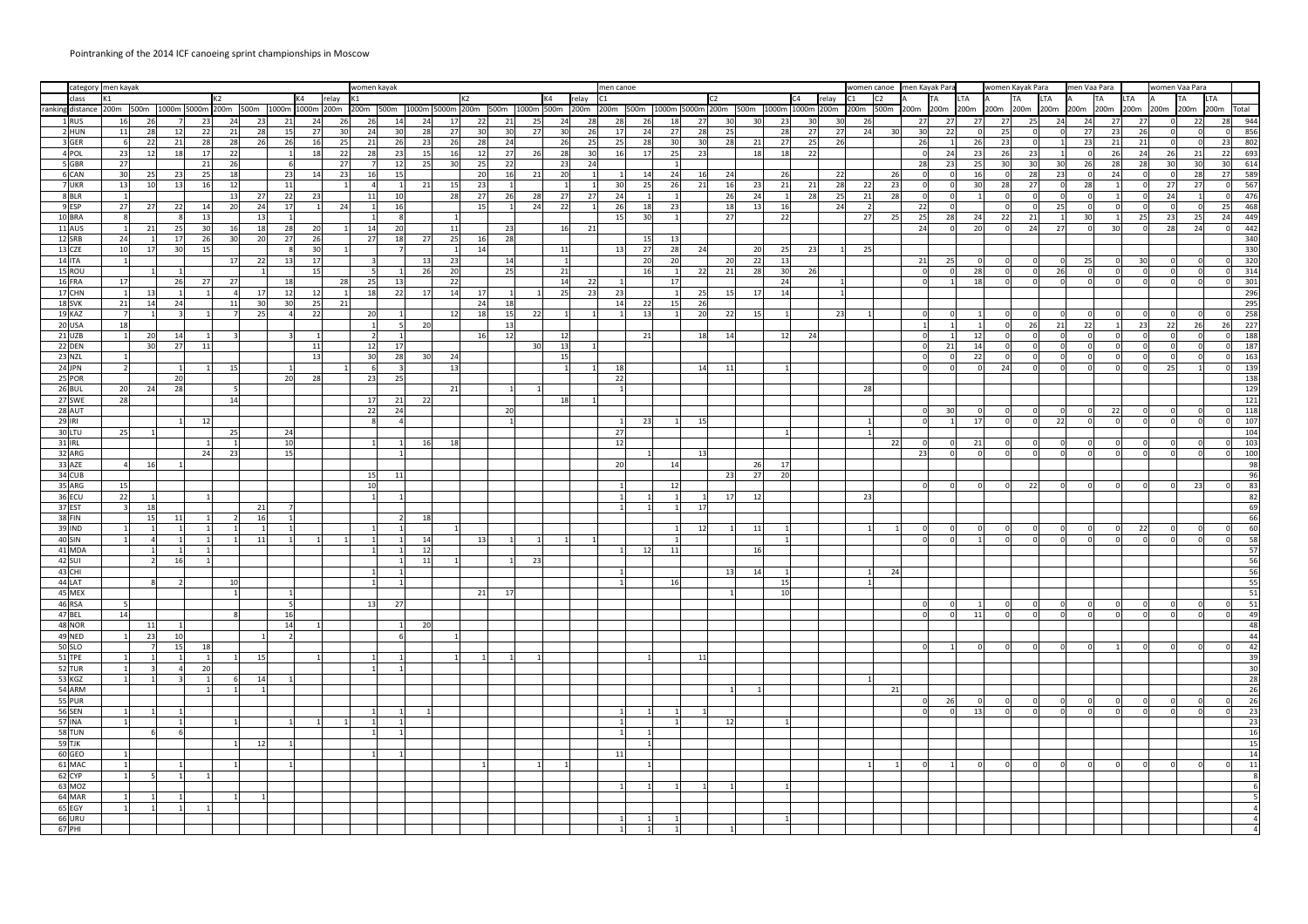## Pointranking of the 2014 ICF canoeing sprint championships in Moscow

| category men kayak                                                                           |                |          |                         |          |                 |          |          |                    |          | women kayak           |                |          |                |          |          |                      |                      | men canoe      |                                                  |                |                |                       |          |                      |                       |          |                |           | women canoe men Kayak Para         |                         |                      | women Kayak Para |                      |                      |                 | men Vaa Para        |          | women Vaa Para       |      |                |                        |
|----------------------------------------------------------------------------------------------|----------------|----------|-------------------------|----------|-----------------|----------|----------|--------------------|----------|-----------------------|----------------|----------|----------------|----------|----------|----------------------|----------------------|----------------|--------------------------------------------------|----------------|----------------|-----------------------|----------|----------------------|-----------------------|----------|----------------|-----------|------------------------------------|-------------------------|----------------------|------------------|----------------------|----------------------|-----------------|---------------------|----------|----------------------|------|----------------|------------------------|
| class                                                                                        | K1<br>K4<br>K2 |          |                         |          |                 |          |          | relay K1           |          |                       |                |          | K <sub>2</sub> |          | K4       | relay                | C1                   |                |                                                  |                | C <sub>2</sub> |                       |          |                      | C4 relay              | C1       | C <sub>2</sub> |           | TA                                 | LTA                     |                      | ГА               | LTA                  |                      | TA              | LTA                 |          |                      | TA.  |                |                        |
| ranking distance 200m 500m 1000m 5000m 200m 500m 1000m 1000m 200m 200m 500m 1000m 5000m 200m |                |          |                         |          |                 |          |          |                    |          |                       |                |          |                |          |          | 500m 1000m 500m 200m |                      |                | 200m 500m 1000m 5000m 200m 500m 1000m 1000m 200m |                |                |                       |          |                      |                       |          |                | 200m 500m | 200m 200m 200m 200m 200m 200m 200m |                         |                      |                  |                      |                      |                 | 200m                |          | 200m 200m            | 200m | 200m           | Total                  |
| <b>RUS</b><br>2 HUN                                                                          | 16<br>11       | 26<br>28 | 12                      | 23<br>22 | 24<br>21        | 23<br>28 | 21<br>15 | 24<br>27           | 26<br>30 | 26<br>24              | 14<br>30       | 24<br>28 | 17<br>27       | 22<br>30 | 21<br>30 | 25<br>27             | 24<br>28<br>30<br>26 | 28<br>17       | 26<br>24                                         | 18<br>27       | 27<br>28       | 30 <sup>1</sup><br>25 | 30       | 23<br>28             | 30 <sup>1</sup><br>27 | 30<br>27 | 26<br>24       | 30        | 27<br>30                           | 27<br>22                | 27<br>$\overline{0}$ | 27<br>25         | 25<br>$\overline{0}$ | 24<br>$\overline{0}$ | 24<br>27        | 27<br>23            | 27<br>26 | $\Omega$             | 22   | 28<br>$\circ$  | 944<br>856             |
| 3 GER                                                                                        | -6             | 22       | 21                      | 28       | 28              | 26       | 26       | 16                 | 25       | 21                    | 26             | 23       | 26             | 28       | 24       |                      | 26<br>25             | 25             | 28                                               | 30             | 30             | 28                    | 21       | 27                   | 25                    | 26       |                |           | 26                                 |                         | 26                   | 23               | $\overline{0}$       |                      | 23              | 21                  | 21       | $\overline{0}$       |      | 23             | 802                    |
| 4 POL                                                                                        | 23             | 12       | 18                      | 17       | 22              |          |          | 18                 | 22       | 28                    | 23             | 15       | 16             | 12       | 27       | 26                   | 28<br>30             | <sup>16</sup>  | 17                                               | 25             | 23             |                       | 18       | 18                   | 22                    |          |                |           | $\overline{0}$                     | 24                      | 23                   | 26               | 23                   | $\overline{1}$       | $\Omega$        | 26                  | 24       | 26                   | 21   | 22             | 693                    |
| 5 GBR                                                                                        | 27             |          |                         | 21       | 26              |          | - 6      |                    | 27       | 7                     | 12             | 25       | 30             | 25       | 22       |                      | 23<br>24             |                |                                                  |                |                |                       |          |                      |                       |          |                |           | 28                                 | 23                      | 25                   | 30               | 30                   | 30                   | 26              | 28                  | 28       | 30                   | 30   | 30             | 614                    |
| 6 CAN                                                                                        | 30             | 25       | 23                      | 25       | 18              |          | 23       | 14                 | 23       | 16                    | 15             |          |                | 20       | 16       | 21                   | 20                   | $\overline{1}$ | 14                                               | 24             | 16             | 24                    |          | 26                   |                       | 22       |                | 26        | $\mathbf{o}$                       | $\circ$                 | 16                   | $\overline{0}$   | 28                   | 23                   | $\sim$          | 24                  |          | $\Omega$             | 28   | 27             | 589                    |
| 7 UKR                                                                                        | 13             | 10       | 13                      | 16       | 12              |          | 11       |                    |          | $\overline{a}$        |                | 21       | 15             | 23       |          |                      |                      | 30             | 25                                               | 26             | 21             | 16                    | 23       | 21                   | 21                    | 28       | 22             | 23        | $\overline{0}$                     | $\circ$                 | 30                   | 28               | 27                   | $\overline{0}$       | 28              | 1                   |          | 27                   | 27   | $\overline{0}$ | 567                    |
| 8 BLR<br>9 ESP                                                                               | 27             | 27       | 22                      | 14       | 13<br>20        | 27<br>24 | 22<br>17 | 23<br>$\mathbf{1}$ | 24       | 11<br>$\mathbf{1}$    | 10<br>16       |          | 28             | 27<br>15 | 26       | 28<br>24             | 27<br>27<br>22       | 24<br>26       | 18                                               | 23             |                | 26<br>18              | 24<br>13 | $\overline{1}$<br>16 | 28                    | 25<br>24 | 21             | 28        | - Ol<br>22                         | $\Omega$<br>$\mathbf 0$ |                      | - Ol<br>$\circ$  | $\Omega$<br>$\Omega$ | 25                   |                 | $\overline{0}$      |          | 24<br>$\overline{0}$ |      | 25             | 476<br>$\Omega$<br>468 |
| 10 BRA                                                                                       |                |          | $\overline{\mathbf{R}}$ | 13       |                 | 13       |          |                    |          |                       |                |          |                |          |          |                      |                      | 15             | 30                                               | $\overline{1}$ |                | 27                    |          | 22                   |                       |          | 27             | 25        | 25                                 | 28                      | 24                   | 22               | 21                   |                      | 30 <sup>1</sup> | $\overline{1}$      | 25       | 23                   | 25   | 24             | 449                    |
| 11 AUS                                                                                       |                | 21       | 25                      | 30       | 16              | 18       | 28       | 20                 |          | 14                    | 20             |          | 11             |          | 23       |                      | 16<br>21             |                |                                                  |                |                |                       |          |                      |                       |          |                |           | 24                                 | $\Omega$                | 20                   | $\Omega$         | 24                   | 27                   |                 | 30                  |          | 28                   | 24   |                | 442                    |
| 12 SRB                                                                                       | 24             |          | 17                      | 26       | 30 <sup>1</sup> | 20       | 27       | 26                 |          | 27                    | 18             | 27       | 25             | 16       | 28       |                      |                      |                | 15                                               | 13             |                |                       |          |                      |                       |          |                |           |                                    |                         |                      |                  |                      |                      |                 |                     |          |                      |      |                | 340                    |
| 13 CZE                                                                                       | 10             | 17       | 30                      | 15       |                 |          |          | 30                 |          |                       |                |          | $\mathbf{1}$   | 14       |          |                      | 11                   | 13             | 27                                               | 28             | 24             |                       | 20       | 25                   | 23                    |          | 25             |           |                                    |                         |                      |                  |                      |                      |                 |                     |          |                      |      |                | 330                    |
| <b>14 ITA</b>                                                                                |                |          |                         |          | 17              | 22       | 13       | 17                 |          | $\mathbf{B}$          |                | - 13     | 23             |          | 14       |                      |                      |                | 20                                               | 20             |                | 20                    | 22       | 13                   |                       |          |                |           | 21                                 | 25                      |                      |                  |                      |                      | 25              |                     |          |                      |      |                | 320                    |
| 15 ROU<br>16 FRA                                                                             | 17             |          | 26                      | 27       | 27              |          | 18       | 15                 | 28       | -51<br>25             | 13             | - 26     | 20<br>22       |          | - 25     |                      | 21<br>14<br>22       |                | 16                                               | 17             | 22             | 21                    | 28       | 30<br>24             | 26                    |          |                |           | $\sqrt{ }$                         | $\Omega$                | 28<br>18             | $\Omega$         |                      | 26                   |                 | $\Omega$            |          |                      |      |                | 314<br>301             |
| 17 CHN                                                                                       |                |          |                         |          |                 | 17       | 12       | 12                 |          | 18                    | 22             | 17       | 14             | 17       |          |                      | 25<br>23             | 23             |                                                  |                | 25             | 15                    | 17       | 14                   |                       |          |                |           |                                    |                         |                      |                  |                      |                      |                 |                     |          |                      |      |                | 296                    |
| 18 SVK                                                                                       | 21             | 14       | 24                      |          | 11              | 30       | 30       | 25                 | 21       |                       |                |          |                | 24       |          |                      |                      | 14             | 22                                               | 15             | 26             |                       |          |                      |                       |          |                |           |                                    |                         |                      |                  |                      |                      |                 |                     |          |                      |      |                | 295                    |
| 19 KAZ                                                                                       |                |          |                         |          |                 | 25       |          | 22                 |          | 20                    |                |          | 12             | 18       | 15       | 22                   |                      |                | 13                                               |                | 20             | 22                    | 15       |                      |                       | 23       |                |           |                                    |                         |                      |                  |                      |                      |                 |                     |          |                      |      |                | 258                    |
| 20 USA                                                                                       | 18             |          |                         |          |                 |          |          |                    |          |                       |                | 20       |                |          |          |                      |                      |                |                                                  |                |                |                       |          |                      |                       |          |                |           |                                    |                         |                      | $\mathbf 0$      | 26                   | 21                   | 22              |                     | 23       | 22                   | 26   | 26             | 227                    |
| 21 UZB                                                                                       |                | 20       | 14                      |          |                 |          |          |                    |          | $\overline{2}$        |                |          |                | 16       | 12       |                      | 12                   |                | 21                                               |                | 18             | 14                    |          | 12                   | 24                    |          |                |           |                                    |                         | 12                   |                  |                      |                      |                 |                     |          |                      |      |                | 188                    |
| 22 DEN<br>23 NZL                                                                             |                | 30       | 27                      | 11       |                 |          |          | 11<br>13           |          | 12<br>30              | 17<br>28       | 30       | 24             |          |          | 30                   | -13<br>15            |                |                                                  |                |                |                       |          |                      |                       |          |                |           |                                    | 21<br>$\Omega$          | 14<br>22             | $\mathbf 0$      | $\Omega$             |                      |                 | $\Omega$<br>$\circ$ |          | $\Omega$             |      | $\Omega$       | 187<br>$\Omega$<br>163 |
| 24 JPN                                                                                       |                |          |                         |          | 15              |          |          |                    |          | 6                     |                |          | 13             |          |          |                      |                      | 18             |                                                  |                | 14             | 11                    |          |                      |                       |          |                |           |                                    | $\Omega$                |                      | 24               | $\Omega$             |                      |                 | $\Omega$            |          | 25                   |      | $\Omega$       | 139                    |
| 25 POR                                                                                       |                |          | 20                      |          |                 |          | 20       | 28                 |          | 23                    | 2 <sup>5</sup> |          |                |          |          |                      |                      | 22             |                                                  |                |                |                       |          |                      |                       |          |                |           |                                    |                         |                      |                  |                      |                      |                 |                     |          |                      |      |                | 138                    |
| 26 BUL                                                                                       | 20             |          | 28                      |          |                 |          |          |                    |          |                       |                |          | 21             |          |          |                      |                      |                |                                                  |                |                |                       |          |                      |                       |          |                |           |                                    |                         |                      |                  |                      |                      |                 |                     |          |                      |      |                | 129                    |
| 27 SWE                                                                                       | 28             |          |                         |          | 14              |          |          |                    |          | 17                    | 21             | 22       |                |          |          |                      |                      |                |                                                  |                |                |                       |          |                      |                       |          |                |           |                                    |                         |                      |                  |                      |                      |                 |                     |          |                      |      |                | 121                    |
| 28 AUT<br>29 IRI                                                                             |                |          |                         | 12       |                 |          |          |                    |          | 22                    | 24             |          |                |          |          |                      |                      |                | 23                                               |                | 15             |                       |          |                      |                       |          |                |           |                                    |                         | 17                   |                  |                      | 22                   |                 | 22                  |          |                      |      |                | 118<br>107             |
| 30 LTU                                                                                       | 25             |          |                         |          | 25              |          | 24       |                    |          |                       |                |          |                |          |          |                      |                      | 27             |                                                  |                |                |                       |          |                      |                       |          |                |           |                                    |                         |                      |                  |                      |                      |                 |                     |          |                      |      |                | 104                    |
| 31 IRL                                                                                       |                |          |                         |          |                 |          | 10       |                    |          |                       |                | 16       | 18             |          |          |                      |                      | 12             |                                                  |                |                |                       |          |                      |                       |          |                | 22        |                                    |                         | 21                   |                  |                      |                      |                 |                     |          |                      |      |                | 103                    |
| 32 ARG                                                                                       |                |          |                         | 24       | 23              |          | -15      |                    |          |                       |                |          |                |          |          |                      |                      |                |                                                  |                | 13             |                       |          |                      |                       |          |                |           | 23                                 |                         |                      |                  |                      |                      |                 |                     |          |                      |      |                | 100                    |
| 33 AZE                                                                                       |                | 16       |                         |          |                 |          |          |                    |          |                       |                |          |                |          |          |                      |                      | 20             |                                                  | 14             |                |                       | 26       | 17                   |                       |          |                |           |                                    |                         |                      |                  |                      |                      |                 |                     |          |                      |      |                | 98                     |
| 34 CUB<br>35 ARG                                                                             | 15             |          |                         |          |                 |          |          |                    |          | 15<br>10 <sup>1</sup> | 11             |          |                |          |          |                      |                      |                |                                                  | 12             |                | 23                    | 27       | 20                   |                       |          |                |           |                                    |                         |                      |                  | 22                   |                      |                 |                     |          |                      |      |                | 96<br>83               |
| 36 ECU                                                                                       | 22             |          |                         |          |                 |          |          |                    |          |                       |                |          |                |          |          |                      |                      |                |                                                  |                |                | 17                    | 12       |                      |                       |          | 23             |           |                                    |                         |                      |                  |                      |                      |                 |                     |          |                      |      |                | 82                     |
| 37 EST                                                                                       |                | 18       |                         |          |                 | 21       |          |                    |          |                       |                |          |                |          |          |                      |                      |                |                                                  |                | 17             |                       |          |                      |                       |          |                |           |                                    |                         |                      |                  |                      |                      |                 |                     |          |                      |      |                | 69                     |
| 38 FIN                                                                                       |                | 15       |                         |          |                 | 16       |          |                    |          |                       |                | 18       |                |          |          |                      |                      |                |                                                  |                |                |                       |          |                      |                       |          |                |           |                                    |                         |                      |                  |                      |                      |                 |                     |          |                      |      |                | 66                     |
| 39 IND                                                                                       |                |          |                         |          |                 |          |          |                    |          |                       |                |          |                |          |          |                      |                      |                |                                                  |                | 12             |                       | 11       |                      |                       |          |                |           |                                    |                         |                      |                  |                      |                      |                 |                     | -22      |                      |      |                | 60                     |
| 40 SIN                                                                                       |                |          |                         |          |                 | 11       |          |                    |          |                       |                | 14       |                | 13       |          |                      |                      |                | 12                                               |                |                |                       |          |                      |                       |          |                |           |                                    |                         |                      |                  |                      |                      |                 |                     |          |                      |      |                | 58                     |
| 41 MDA<br>42 SUI                                                                             |                |          |                         |          |                 |          |          |                    |          |                       |                | 12       |                |          |          |                      |                      |                |                                                  |                |                |                       |          |                      |                       |          |                |           |                                    |                         |                      |                  |                      |                      |                 |                     |          |                      |      |                | 57<br>56               |
| 43 CHI                                                                                       |                |          |                         |          |                 |          |          |                    |          |                       |                |          |                |          |          |                      |                      |                |                                                  |                |                | 13                    |          |                      |                       |          |                | 24        |                                    |                         |                      |                  |                      |                      |                 |                     |          |                      |      |                | 56                     |
| 44 LAT                                                                                       |                |          |                         |          |                 |          |          |                    |          |                       |                |          |                |          |          |                      |                      |                |                                                  | 16             |                |                       |          | 15                   |                       |          |                |           |                                    |                         |                      |                  |                      |                      |                 |                     |          |                      |      |                | 55                     |
| 45 MEX                                                                                       |                |          |                         |          |                 |          |          |                    |          |                       |                |          |                |          |          |                      |                      |                |                                                  |                |                |                       |          |                      |                       |          |                |           |                                    |                         |                      |                  |                      |                      |                 |                     |          |                      |      |                | 51                     |
| 46 RSA                                                                                       |                |          |                         |          |                 |          |          |                    |          | 13                    |                |          |                |          |          |                      |                      |                |                                                  |                |                |                       |          |                      |                       |          |                |           |                                    |                         |                      |                  |                      |                      |                 |                     |          |                      |      |                | 51                     |
| 47 BEL<br>48 NOR                                                                             | 14             | 11       |                         |          |                 |          | 14       |                    |          |                       |                |          |                |          |          |                      |                      |                |                                                  |                |                |                       |          |                      |                       |          |                |           |                                    |                         |                      |                  |                      |                      |                 |                     |          |                      |      |                | 49<br>48               |
| <b>49 NED</b>                                                                                |                | 23       | 10                      |          |                 |          |          |                    |          |                       |                |          |                |          |          |                      |                      |                |                                                  |                |                |                       |          |                      |                       |          |                |           |                                    |                         |                      |                  |                      |                      |                 |                     |          |                      |      |                | 44                     |
| 50 SLO                                                                                       |                |          | 15                      | 18       |                 |          |          |                    |          |                       |                |          |                |          |          |                      |                      |                |                                                  |                |                |                       |          |                      |                       |          |                |           |                                    |                         |                      |                  |                      |                      |                 |                     |          |                      |      |                | 42                     |
| 51 TPE                                                                                       |                |          |                         |          |                 | 15       |          |                    |          |                       |                |          |                |          |          |                      |                      |                |                                                  |                |                |                       |          |                      |                       |          |                |           |                                    |                         |                      |                  |                      |                      |                 |                     |          |                      |      |                | 39                     |
| 52 TUR                                                                                       |                |          |                         | 20       |                 |          |          |                    |          |                       |                |          |                |          |          |                      |                      |                |                                                  |                |                |                       |          |                      |                       |          |                |           |                                    |                         |                      |                  |                      |                      |                 |                     |          |                      |      |                | 30                     |
| 53 KGZ                                                                                       |                |          |                         |          |                 | 14       |          |                    |          |                       |                |          |                |          |          |                      |                      |                |                                                  |                |                |                       |          |                      |                       |          |                |           |                                    |                         |                      |                  |                      |                      |                 |                     |          |                      |      |                | 28                     |
| 54 ARM<br>55 PUR                                                                             |                |          |                         |          |                 |          |          |                    |          |                       |                |          |                |          |          |                      |                      |                |                                                  |                |                |                       |          |                      |                       |          |                | 21        | - 0                                | 26                      |                      | 0                |                      |                      |                 | 0                   |          |                      |      |                | 26<br>26<br>$\Omega$   |
| <b>56 SEN</b>                                                                                |                |          |                         |          |                 |          |          |                    |          |                       |                |          |                |          |          |                      |                      |                |                                                  |                |                |                       |          |                      |                       |          |                |           |                                    | $\Omega$                | 13                   |                  |                      |                      |                 |                     |          |                      |      |                | 23                     |
| <b>57 INA</b>                                                                                |                |          |                         |          |                 |          |          |                    |          |                       |                |          |                |          |          |                      |                      |                |                                                  |                |                |                       |          |                      |                       |          |                |           |                                    |                         |                      |                  |                      |                      |                 |                     |          |                      |      |                | 23                     |
| <b>58 TUN</b>                                                                                |                |          |                         |          |                 |          |          |                    |          |                       |                |          |                |          |          |                      |                      |                |                                                  |                |                |                       |          |                      |                       |          |                |           |                                    |                         |                      |                  |                      |                      |                 |                     |          |                      |      |                | 16                     |
| 59 TJK                                                                                       |                |          |                         |          |                 |          |          |                    |          |                       |                |          |                |          |          |                      |                      |                |                                                  |                |                |                       |          |                      |                       |          |                |           |                                    |                         |                      |                  |                      |                      |                 |                     |          |                      |      |                | 15                     |
| 60 GEO<br>61 MAC                                                                             |                |          |                         |          |                 |          |          |                    |          |                       |                |          |                |          |          |                      |                      |                |                                                  |                |                |                       |          |                      |                       |          |                |           |                                    |                         |                      |                  |                      |                      |                 |                     |          |                      |      |                | 14                     |
| 62 CYP                                                                                       |                |          |                         |          |                 |          |          |                    |          |                       |                |          |                |          |          |                      |                      |                |                                                  |                |                |                       |          |                      |                       |          |                |           |                                    |                         |                      |                  |                      |                      |                 |                     |          |                      |      |                |                        |
| 63 MOZ                                                                                       |                |          |                         |          |                 |          |          |                    |          |                       |                |          |                |          |          |                      |                      |                |                                                  |                |                |                       |          |                      |                       |          |                |           |                                    |                         |                      |                  |                      |                      |                 |                     |          |                      |      |                |                        |
| 64 MAR                                                                                       |                |          |                         |          |                 |          |          |                    |          |                       |                |          |                |          |          |                      |                      |                |                                                  |                |                |                       |          |                      |                       |          |                |           |                                    |                         |                      |                  |                      |                      |                 |                     |          |                      |      |                |                        |
| 65 EGY                                                                                       |                |          |                         |          |                 |          |          |                    |          |                       |                |          |                |          |          |                      |                      |                |                                                  |                |                |                       |          |                      |                       |          |                |           |                                    |                         |                      |                  |                      |                      |                 |                     |          |                      |      |                |                        |
| <b>66 URU</b>                                                                                |                |          |                         |          |                 |          |          |                    |          |                       |                |          |                |          |          |                      |                      |                |                                                  |                |                |                       |          |                      |                       |          |                |           |                                    |                         |                      |                  |                      |                      |                 |                     |          |                      |      |                |                        |
| 67 PHI                                                                                       |                |          |                         |          |                 |          |          |                    |          |                       |                |          |                |          |          |                      |                      |                |                                                  |                |                |                       |          |                      |                       |          |                |           |                                    |                         |                      |                  |                      |                      |                 |                     |          |                      |      |                |                        |